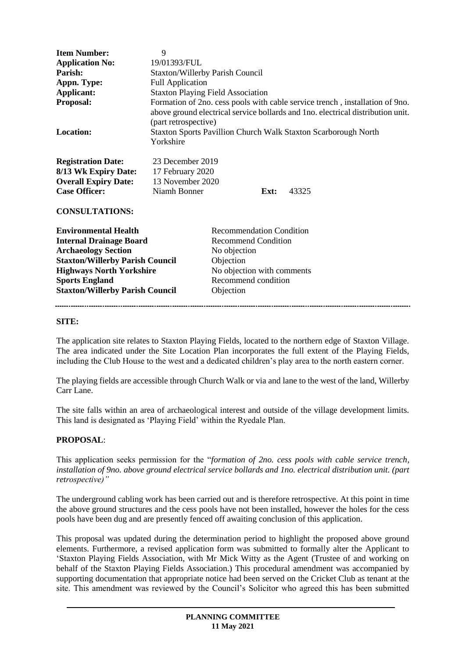| <b>Item Number:</b><br><b>Application No:</b><br>Parish:<br>Appn. Type:<br>Applicant:<br><b>Proposal:</b><br><b>Location:</b> | 9<br>19/01393/FUL<br><b>Staxton/Willerby Parish Council</b><br><b>Full Application</b><br><b>Staxton Playing Field Association</b><br>Formation of 2no. cess pools with cable service trench, installation of 9no.<br>above ground electrical service bollards and 1no. electrical distribution unit.<br>(part retrospective)<br><b>Staxton Sports Pavillion Church Walk Staxton Scarborough North</b><br>Yorkshire |
|-------------------------------------------------------------------------------------------------------------------------------|---------------------------------------------------------------------------------------------------------------------------------------------------------------------------------------------------------------------------------------------------------------------------------------------------------------------------------------------------------------------------------------------------------------------|
| <b>Registration Date:</b><br>8/13 Wk Expiry Date:<br><b>Overall Expiry Date:</b><br><b>Case Officer:</b>                      | 23 December 2019<br>17 February 2020<br>13 November 2020<br>Niamh Bonner<br>Ext:<br>43325                                                                                                                                                                                                                                                                                                                           |
| <b>CONSULTATIONS:</b><br><b>Environmental Health</b>                                                                          | <b>Recommendation Condition</b>                                                                                                                                                                                                                                                                                                                                                                                     |

| <b>Internal Drainage Board</b>         |   |
|----------------------------------------|---|
| <b>Archaeology Section</b>             | ľ |
| <b>Staxton/Willerby Parish Council</b> |   |
| <b>Highways North Yorkshire</b>        | P |
| <b>Sports England</b>                  | F |
| <b>Staxton/Willerby Parish Council</b> |   |

**Recommend Condition No objection Subjection No objection with comments Recommend condition Shiection** 

### **SITE:**

The application site relates to Staxton Playing Fields, located to the northern edge of Staxton Village. The area indicated under the Site Location Plan incorporates the full extent of the Playing Fields, including the Club House to the west and a dedicated children's play area to the north eastern corner.

The playing fields are accessible through Church Walk or via and lane to the west of the land, Willerby Carr Lane.

The site falls within an area of archaeological interest and outside of the village development limits. This land is designated as 'Playing Field' within the Ryedale Plan.

## **PROPOSAL**:

This application seeks permission for the "*formation of 2no. cess pools with cable service trench, installation of 9no. above ground electrical service bollards and 1no. electrical distribution unit. (part retrospective)"*

The underground cabling work has been carried out and is therefore retrospective. At this point in time the above ground structures and the cess pools have not been installed, however the holes for the cess pools have been dug and are presently fenced off awaiting conclusion of this application.

This proposal was updated during the determination period to highlight the proposed above ground elements. Furthermore, a revised application form was submitted to formally alter the Applicant to 'Staxton Playing Fields Association, with Mr Mick Witty as the Agent (Trustee of and working on behalf of the Staxton Playing Fields Association.) This procedural amendment was accompanied by supporting documentation that appropriate notice had been served on the Cricket Club as tenant at the site. This amendment was reviewed by the Council's Solicitor who agreed this has been submitted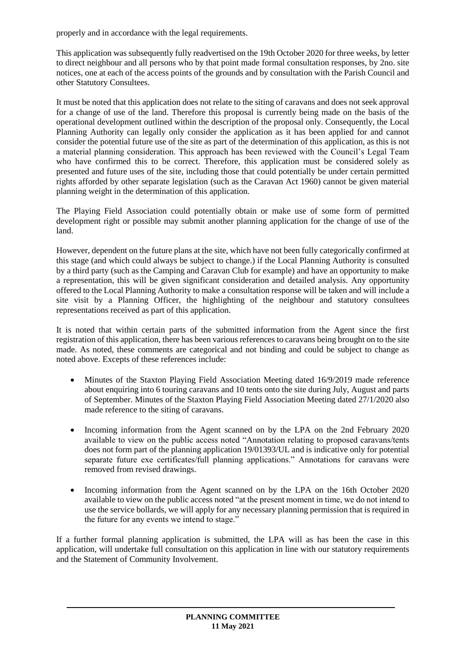properly and in accordance with the legal requirements.

This application was subsequently fully readvertised on the 19th October 2020 for three weeks, by letter to direct neighbour and all persons who by that point made formal consultation responses, by 2no. site notices, one at each of the access points of the grounds and by consultation with the Parish Council and other Statutory Consultees.

It must be noted that this application does not relate to the siting of caravans and does not seek approval for a change of use of the land. Therefore this proposal is currently being made on the basis of the operational development outlined within the description of the proposal only. Consequently, the Local Planning Authority can legally only consider the application as it has been applied for and cannot consider the potential future use of the site as part of the determination of this application, as this is not a material planning consideration. This approach has been reviewed with the Council's Legal Team who have confirmed this to be correct. Therefore, this application must be considered solely as presented and future uses of the site, including those that could potentially be under certain permitted rights afforded by other separate legislation (such as the Caravan Act 1960) cannot be given material planning weight in the determination of this application.

The Playing Field Association could potentially obtain or make use of some form of permitted development right or possible may submit another planning application for the change of use of the land.

However, dependent on the future plans at the site, which have not been fully categorically confirmed at this stage (and which could always be subject to change.) if the Local Planning Authority is consulted by a third party (such as the Camping and Caravan Club for example) and have an opportunity to make a representation, this will be given significant consideration and detailed analysis. Any opportunity offered to the Local Planning Authority to make a consultation response will be taken and will include a site visit by a Planning Officer, the highlighting of the neighbour and statutory consultees representations received as part of this application.

It is noted that within certain parts of the submitted information from the Agent since the first registration of this application, there has been various references to caravans being brought on to the site made. As noted, these comments are categorical and not binding and could be subject to change as noted above. Excepts of these references include:

- Minutes of the Staxton Playing Field Association Meeting dated 16/9/2019 made reference about enquiring into 6 touring caravans and 10 tents onto the site during July, August and parts of September. Minutes of the Staxton Playing Field Association Meeting dated 27/1/2020 also made reference to the siting of caravans.
- Incoming information from the Agent scanned on by the LPA on the 2nd February 2020 available to view on the public access noted "Annotation relating to proposed caravans/tents does not form part of the planning application 19/01393/UL and is indicative only for potential separate future exe certificates/full planning applications." Annotations for caravans were removed from revised drawings.
- Incoming information from the Agent scanned on by the LPA on the 16th October 2020 available to view on the public access noted "at the present moment in time, we do not intend to use the service bollards, we will apply for any necessary planning permission that is required in the future for any events we intend to stage."

If a further formal planning application is submitted, the LPA will as has been the case in this application, will undertake full consultation on this application in line with our statutory requirements and the Statement of Community Involvement.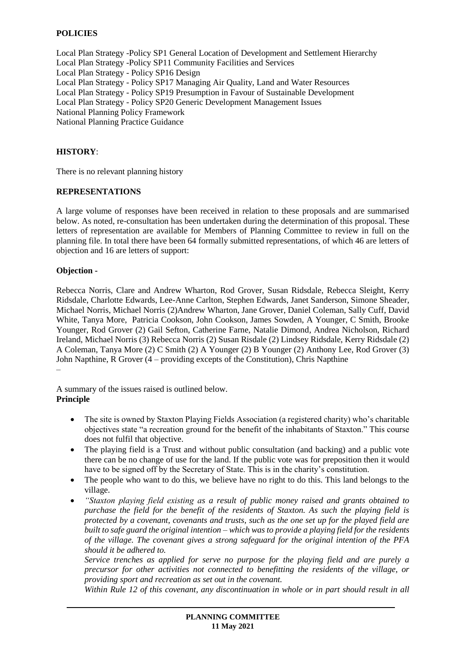## **POLICIES**

Local Plan Strategy -Policy SP1 General Location of Development and Settlement Hierarchy Local Plan Strategy -Policy SP11 Community Facilities and Services Local Plan Strategy - Policy SP16 Design Local Plan Strategy - Policy SP17 Managing Air Quality, Land and Water Resources Local Plan Strategy - Policy SP19 Presumption in Favour of Sustainable Development Local Plan Strategy - Policy SP20 Generic Development Management Issues National Planning Policy Framework National Planning Practice Guidance

### **HISTORY**:

There is no relevant planning history

#### **REPRESENTATIONS**

A large volume of responses have been received in relation to these proposals and are summarised below. As noted, re-consultation has been undertaken during the determination of this proposal. These letters of representation are available for Members of Planning Committee to review in full on the planning file. In total there have been 64 formally submitted representations, of which 46 are letters of objection and 16 are letters of support:

#### **Objection -**

Rebecca Norris, Clare and Andrew Wharton, Rod Grover, Susan Ridsdale, Rebecca Sleight, Kerry Ridsdale, Charlotte Edwards, Lee-Anne Carlton, Stephen Edwards, Janet Sanderson, Simone Sheader, Michael Norris, Michael Norris (2)Andrew Wharton, Jane Grover, Daniel Coleman, Sally Cuff, David White, Tanya More, Patricia Cookson, John Cookson, James Sowden, A Younger, C Smith, Brooke Younger, Rod Grover (2) Gail Sefton, Catherine Farne, Natalie Dimond, Andrea Nicholson, Richard Ireland, Michael Norris (3) Rebecca Norris (2) Susan Risdale (2) Lindsey Ridsdale, Kerry Ridsdale (2) A Coleman, Tanya More (2) C Smith (2) A Younger (2) B Younger (2) Anthony Lee, Rod Grover (3) John Napthine, R Grover (4 – providing excepts of the Constitution), Chris Napthine –

A summary of the issues raised is outlined below. **Principle** 

- The site is owned by Staxton Playing Fields Association (a registered charity) who's charitable objectives state "a recreation ground for the benefit of the inhabitants of Staxton." This course does not fulfil that objective.
- The playing field is a Trust and without public consultation (and backing) and a public vote there can be no change of use for the land. If the public vote was for preposition then it would have to be signed off by the Secretary of State. This is in the charity's constitution.
- The people who want to do this, we believe have no right to do this. This land belongs to the village.
- *"Staxton playing field existing as a result of public money raised and grants obtained to purchase the field for the benefit of the residents of Staxton. As such the playing field is protected by a covenant, covenants and trusts, such as the one set up for the played field are built to safe guard the original intention – which was to provide a playing field for the residents of the village. The covenant gives a strong safeguard for the original intention of the PFA should it be adhered to.*

*Service trenches as applied for serve no purpose for the playing field and are purely a precursor for other activities not connected to benefitting the residents of the village, or providing sport and recreation as set out in the covenant.* 

*Within Rule 12 of this covenant, any discontinuation in whole or in part should result in all*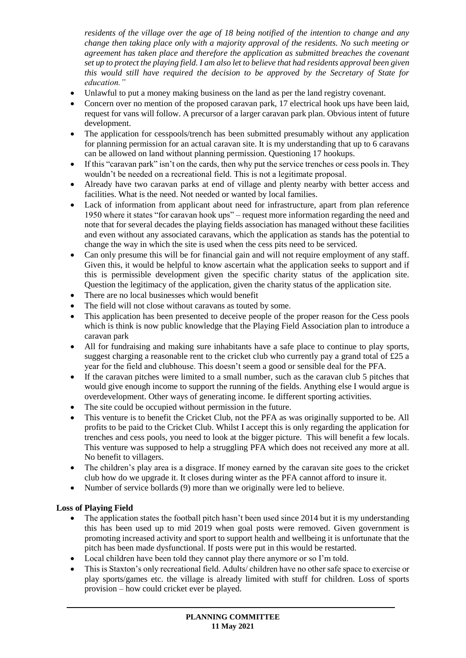*residents of the village over the age of 18 being notified of the intention to change and any change then taking place only with a majority approval of the residents. No such meeting or agreement has taken place and therefore the application as submitted breaches the covenant set up to protect the playing field. I am also let to believe that had residents approval been given this would still have required the decision to be approved by the Secretary of State for education."* 

- Unlawful to put a money making business on the land as per the land registry covenant.
- Concern over no mention of the proposed caravan park, 17 electrical hook ups have been laid, request for vans will follow. A precursor of a larger caravan park plan. Obvious intent of future development.
- The application for cesspools/trench has been submitted presumably without any application for planning permission for an actual caravan site. It is my understanding that up to 6 caravans can be allowed on land without planning permission. Questioning 17 hookups.
- If this "caravan park" isn't on the cards, then why put the service trenches or cess pools in. They wouldn't be needed on a recreational field. This is not a legitimate proposal.
- Already have two caravan parks at end of village and plenty nearby with better access and facilities. What is the need. Not needed or wanted by local families.
- Lack of information from applicant about need for infrastructure, apart from plan reference 1950 where it states "for caravan hook ups" – request more information regarding the need and note that for several decades the playing fields association has managed without these facilities and even without any associated caravans, which the application as stands has the potential to change the way in which the site is used when the cess pits need to be serviced.
- Can only presume this will be for financial gain and will not require employment of any staff. Given this, it would be helpful to know ascertain what the application seeks to support and if this is permissible development given the specific charity status of the application site. Question the legitimacy of the application, given the charity status of the application site.
- There are no local businesses which would benefit
- The field will not close without caravans as touted by some.
- This application has been presented to deceive people of the proper reason for the Cess pools which is think is now public knowledge that the Playing Field Association plan to introduce a caravan park
- All for fundraising and making sure inhabitants have a safe place to continue to play sports, suggest charging a reasonable rent to the cricket club who currently pay a grand total of  $\pounds 25$  a year for the field and clubhouse. This doesn't seem a good or sensible deal for the PFA.
- If the caravan pitches were limited to a small number, such as the caravan club 5 pitches that would give enough income to support the running of the fields. Anything else I would argue is overdevelopment. Other ways of generating income. Ie different sporting activities.
- The site could be occupied without permission in the future.
- This venture is to benefit the Cricket Club, not the PFA as was originally supported to be. All profits to be paid to the Cricket Club. Whilst I accept this is only regarding the application for trenches and cess pools, you need to look at the bigger picture. This will benefit a few locals. This venture was supposed to help a struggling PFA which does not received any more at all. No benefit to villagers.
- The children's play area is a disgrace. If money earned by the caravan site goes to the cricket club how do we upgrade it. It closes during winter as the PFA cannot afford to insure it.
- Number of service bollards (9) more than we originally were led to believe.

## **Loss of Playing Field**

- The application states the football pitch hasn't been used since 2014 but it is my understanding this has been used up to mid 2019 when goal posts were removed. Given government is promoting increased activity and sport to support health and wellbeing it is unfortunate that the pitch has been made dysfunctional. If posts were put in this would be restarted.
- Local children have been told they cannot play there anymore or so I'm told.
- This is Staxton's only recreational field. Adults/ children have no other safe space to exercise or play sports/games etc. the village is already limited with stuff for children. Loss of sports provision – how could cricket ever be played.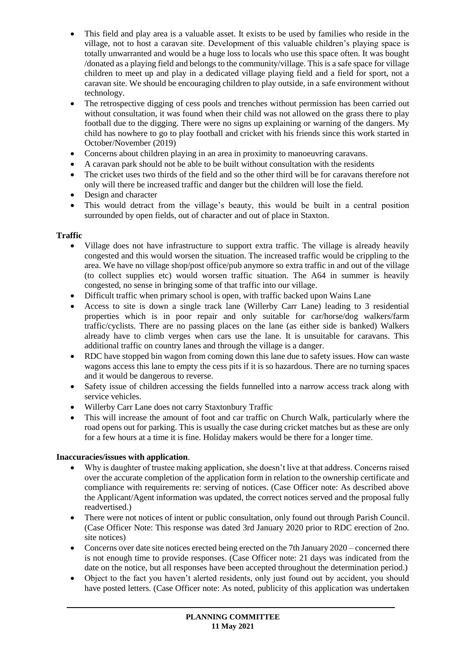- This field and play area is a valuable asset. It exists to be used by families who reside in the village, not to host a caravan site. Development of this valuable children's playing space is totally unwarranted and would be a huge loss to locals who use this space often. It was bought /donated as a playing field and belongs to the community/village. This is a safe space for village children to meet up and play in a dedicated village playing field and a field for sport, not a caravan site. We should be encouraging children to play outside, in a safe environment without technology.
- The retrospective digging of cess pools and trenches without permission has been carried out without consultation, it was found when their child was not allowed on the grass there to play football due to the digging. There were no signs up explaining or warning of the dangers. My child has nowhere to go to play football and cricket with his friends since this work started in October/November (2019)
- Concerns about children playing in an area in proximity to manoeuvring caravans.
- A caravan park should not be able to be built without consultation with the residents
- The cricket uses two thirds of the field and so the other third will be for caravans therefore not only will there be increased traffic and danger but the children will lose the field.
- Design and character
- This would detract from the village's beauty, this would be built in a central position surrounded by open fields, out of character and out of place in Staxton.

## **Traffic**

- Village does not have infrastructure to support extra traffic. The village is already heavily congested and this would worsen the situation. The increased traffic would be crippling to the area. We have no village shop/post office/pub anymore so extra traffic in and out of the village (to collect supplies etc) would worsen traffic situation. The A64 in summer is heavily congested, no sense in bringing some of that traffic into our village.
- Difficult traffic when primary school is open, with traffic backed upon Wains Lane
- Access to site is down a single track lane (Willerby Carr Lane) leading to 3 residential properties which is in poor repair and only suitable for car/horse/dog walkers/farm traffic/cyclists. There are no passing places on the lane (as either side is banked) Walkers already have to climb verges when cars use the lane. It is unsuitable for caravans. This additional traffic on country lanes and through the village is a danger.
- RDC have stopped bin wagon from coming down this lane due to safety issues. How can waste wagons access this lane to empty the cess pits if it is so hazardous. There are no turning spaces and it would be dangerous to reverse.
- Safety issue of children accessing the fields funnelled into a narrow access track along with service vehicles.
- Willerby Carr Lane does not carry Staxtonbury Traffic
- This will increase the amount of foot and car traffic on Church Walk, particularly where the road opens out for parking. This is usually the case during cricket matches but as these are only for a few hours at a time it is fine. Holiday makers would be there for a longer time.

# **Inaccuracies/issues with application**.

- Why is daughter of trustee making application, she doesn't live at that address. Concerns raised over the accurate completion of the application form in relation to the ownership certificate and compliance with requirements re: serving of notices. (Case Officer note: As described above the Applicant/Agent information was updated, the correct notices served and the proposal fully readvertised.)
- There were not notices of intent or public consultation, only found out through Parish Council. (Case Officer Note: This response was dated 3rd January 2020 prior to RDC erection of 2no. site notices)
- Concerns over date site notices erected being erected on the 7th January 2020 concerned there is not enough time to provide responses. (Case Officer note: 21 days was indicated from the date on the notice, but all responses have been accepted throughout the determination period.)
- Object to the fact you haven't alerted residents, only just found out by accident, you should have posted letters. (Case Officer note: As noted, publicity of this application was undertaken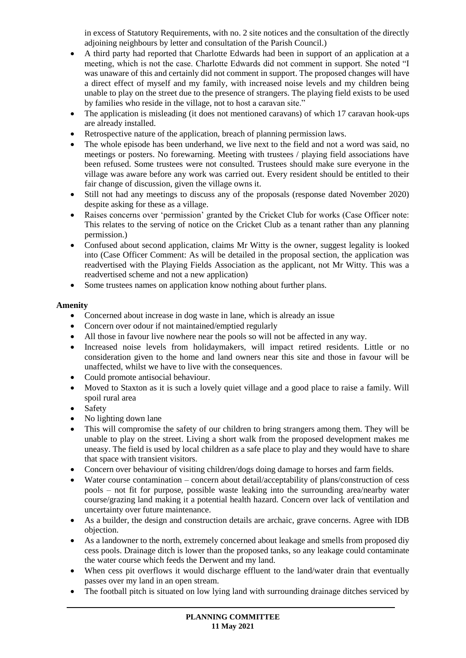in excess of Statutory Requirements, with no. 2 site notices and the consultation of the directly adjoining neighbours by letter and consultation of the Parish Council.)

- A third party had reported that Charlotte Edwards had been in support of an application at a meeting, which is not the case. Charlotte Edwards did not comment in support. She noted "I was unaware of this and certainly did not comment in support. The proposed changes will have a direct effect of myself and my family, with increased noise levels and my children being unable to play on the street due to the presence of strangers. The playing field exists to be used by families who reside in the village, not to host a caravan site."
- The application is misleading (it does not mentioned caravans) of which 17 caravan hook-ups are already installed.
- Retrospective nature of the application, breach of planning permission laws.
- The whole episode has been underhand, we live next to the field and not a word was said, no meetings or posters. No forewarning. Meeting with trustees / playing field associations have been refused. Some trustees were not consulted. Trustees should make sure everyone in the village was aware before any work was carried out. Every resident should be entitled to their fair change of discussion, given the village owns it.
- Still not had any meetings to discuss any of the proposals (response dated November 2020) despite asking for these as a village.
- Raises concerns over 'permission' granted by the Cricket Club for works (Case Officer note: This relates to the serving of notice on the Cricket Club as a tenant rather than any planning permission.)
- Confused about second application, claims Mr Witty is the owner, suggest legality is looked into (Case Officer Comment: As will be detailed in the proposal section, the application was readvertised with the Playing Fields Association as the applicant, not Mr Witty. This was a readvertised scheme and not a new application)
- Some trustees names on application know nothing about further plans.

## **Amenity**

- Concerned about increase in dog waste in lane, which is already an issue
- Concern over odour if not maintained/emptied regularly
- All those in favour live nowhere near the pools so will not be affected in any way.
- Increased noise levels from holidaymakers, will impact retired residents. Little or no consideration given to the home and land owners near this site and those in favour will be unaffected, whilst we have to live with the consequences.
- Could promote antisocial behaviour.
- Moved to Staxton as it is such a lovely quiet village and a good place to raise a family. Will spoil rural area
- Safety
- No lighting down lane
- This will compromise the safety of our children to bring strangers among them. They will be unable to play on the street. Living a short walk from the proposed development makes me uneasy. The field is used by local children as a safe place to play and they would have to share that space with transient visitors.
- Concern over behaviour of visiting children/dogs doing damage to horses and farm fields.
- Water course contamination concern about detail/acceptability of plans/construction of cess pools – not fit for purpose, possible waste leaking into the surrounding area/nearby water course/grazing land making it a potential health hazard. Concern over lack of ventilation and uncertainty over future maintenance.
- As a builder, the design and construction details are archaic, grave concerns. Agree with IDB objection.
- As a landowner to the north, extremely concerned about leakage and smells from proposed diy cess pools. Drainage ditch is lower than the proposed tanks, so any leakage could contaminate the water course which feeds the Derwent and my land.
- When cess pit overflows it would discharge effluent to the land/water drain that eventually passes over my land in an open stream.
- The football pitch is situated on low lying land with surrounding drainage ditches serviced by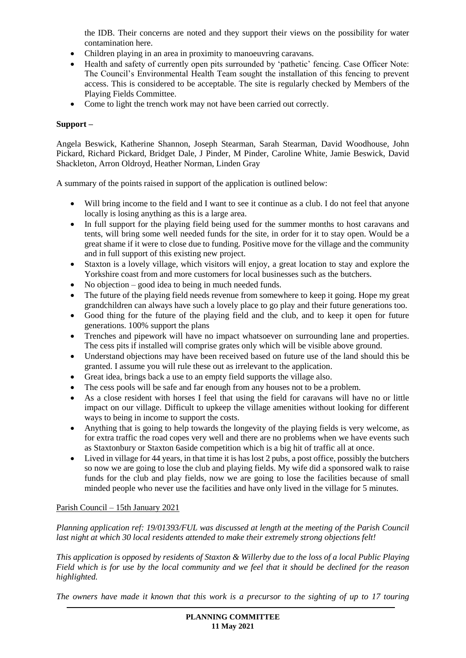the IDB. Their concerns are noted and they support their views on the possibility for water contamination here.

- Children playing in an area in proximity to manoeuvring caravans.
- Health and safety of currently open pits surrounded by 'pathetic' fencing. Case Officer Note: The Council's Environmental Health Team sought the installation of this fencing to prevent access. This is considered to be acceptable. The site is regularly checked by Members of the Playing Fields Committee.
- Come to light the trench work may not have been carried out correctly.

## **Support –**

Angela Beswick, Katherine Shannon, Joseph Stearman, Sarah Stearman, David Woodhouse, John Pickard, Richard Pickard, Bridget Dale, J Pinder, M Pinder, Caroline White, Jamie Beswick, David Shackleton, Arron Oldroyd, Heather Norman, Linden Gray

A summary of the points raised in support of the application is outlined below:

- Will bring income to the field and I want to see it continue as a club. I do not feel that anyone locally is losing anything as this is a large area.
- In full support for the playing field being used for the summer months to host caravans and tents, will bring some well needed funds for the site, in order for it to stay open. Would be a great shame if it were to close due to funding. Positive move for the village and the community and in full support of this existing new project.
- Staxton is a lovely village, which visitors will enjoy, a great location to stay and explore the Yorkshire coast from and more customers for local businesses such as the butchers.
- No objection good idea to being in much needed funds.
- The future of the playing field needs revenue from somewhere to keep it going. Hope my great grandchildren can always have such a lovely place to go play and their future generations too.
- Good thing for the future of the playing field and the club, and to keep it open for future generations. 100% support the plans
- Trenches and pipework will have no impact whatsoever on surrounding lane and properties. The cess pits if installed will comprise grates only which will be visible above ground.
- Understand objections may have been received based on future use of the land should this be granted. I assume you will rule these out as irrelevant to the application.
- Great idea, brings back a use to an empty field supports the village also.
- The cess pools will be safe and far enough from any houses not to be a problem.
- As a close resident with horses I feel that using the field for caravans will have no or little impact on our village. Difficult to upkeep the village amenities without looking for different ways to being in income to support the costs.
- Anything that is going to help towards the longevity of the playing fields is very welcome, as for extra traffic the road copes very well and there are no problems when we have events such as Staxtonbury or Staxton 6aside competition which is a big hit of traffic all at once.
- Lived in village for 44 years, in that time it is has lost 2 pubs, a post office, possibly the butchers so now we are going to lose the club and playing fields. My wife did a sponsored walk to raise funds for the club and play fields, now we are going to lose the facilities because of small minded people who never use the facilities and have only lived in the village for 5 minutes.

## Parish Council – 15th January 2021

*Planning application ref: 19/01393/FUL was discussed at length at the meeting of the Parish Council last night at which 30 local residents attended to make their extremely strong objections felt!*

*This application is opposed by residents of Staxton & Willerby due to the loss of a local Public Playing Field which is for use by the local community and we feel that it should be declined for the reason highlighted.*

*The owners have made it known that this work is a precursor to the sighting of up to 17 touring*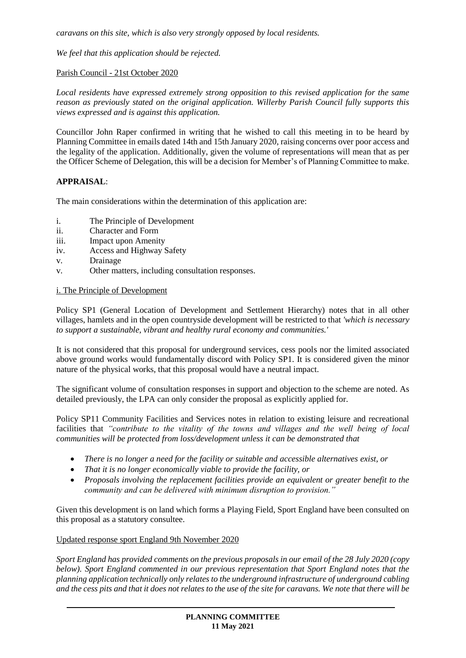*caravans on this site, which is also very strongly opposed by local residents.*

*We feel that this application should be rejected.*

### Parish Council - 21st October 2020

*Local residents have expressed extremely strong opposition to this revised application for the same reason as previously stated on the original application. Willerby Parish Council fully supports this views expressed and is against this application.*

Councillor John Raper confirmed in writing that he wished to call this meeting in to be heard by Planning Committee in emails dated 14th and 15th January 2020, raising concerns over poor access and the legality of the application. Additionally, given the volume of representations will mean that as per the Officer Scheme of Delegation, this will be a decision for Member's of Planning Committee to make.

### **APPRAISAL**:

The main considerations within the determination of this application are:

- i. The Principle of Development
- ii. Character and Form
- iii. Impact upon Amenity
- iv. Access and Highway Safety
- v. Drainage
- v. Other matters, including consultation responses.

### i. The Principle of Development

Policy SP1 (General Location of Development and Settlement Hierarchy) notes that in all other villages, hamlets and in the open countryside development will be restricted to that *'which is necessary to support a sustainable, vibrant and healthy rural economy and communities.'*

It is not considered that this proposal for underground services, cess pools nor the limited associated above ground works would fundamentally discord with Policy SP1. It is considered given the minor nature of the physical works, that this proposal would have a neutral impact.

The significant volume of consultation responses in support and objection to the scheme are noted. As detailed previously, the LPA can only consider the proposal as explicitly applied for.

Policy SP11 Community Facilities and Services notes in relation to existing leisure and recreational facilities that *"contribute to the vitality of the towns and villages and the well being of local communities will be protected from loss/development unless it can be demonstrated that* 

- *There is no longer a need for the facility or suitable and accessible alternatives exist, or*
- *That it is no longer economically viable to provide the facility, or*
- *Proposals involving the replacement facilities provide an equivalent or greater benefit to the community and can be delivered with minimum disruption to provision."*

Given this development is on land which forms a Playing Field, Sport England have been consulted on this proposal as a statutory consultee.

#### Updated response sport England 9th November 2020

*Sport England has provided comments on the previous proposals in our email of the 28 July 2020 (copy below). Sport England commented in our previous representation that Sport England notes that the planning application technically only relates to the underground infrastructure of underground cabling and the cess pits and that it does not relates to the use of the site for caravans. We note that there will be*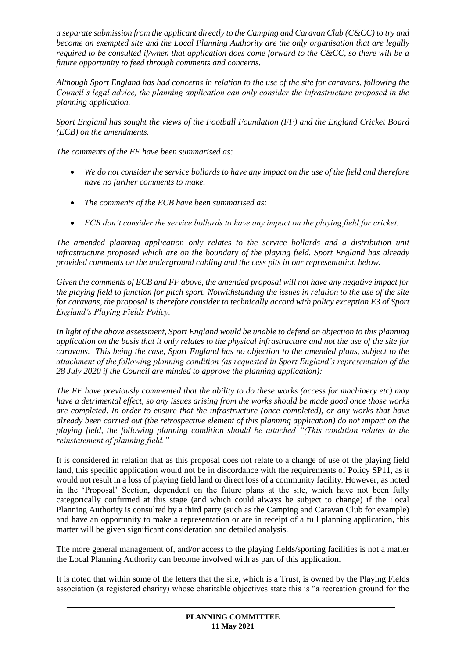*a separate submission from the applicant directly to the Camping and Caravan Club (C&CC) to try and become an exempted site and the Local Planning Authority are the only organisation that are legally required to be consulted if/when that application does come forward to the C&CC, so there will be a future opportunity to feed through comments and concerns.*

*Although Sport England has had concerns in relation to the use of the site for caravans, following the Council's legal advice, the planning application can only consider the infrastructure proposed in the planning application.* 

*Sport England has sought the views of the Football Foundation (FF) and the England Cricket Board (ECB) on the amendments.* 

*The comments of the FF have been summarised as:* 

- *We do not consider the service bollards to have any impact on the use of the field and therefore have no further comments to make.*
- *The comments of the ECB have been summarised as:*
- *ECB don't consider the service bollards to have any impact on the playing field for cricket.*

*The amended planning application only relates to the service bollards and a distribution unit infrastructure proposed which are on the boundary of the playing field. Sport England has already provided comments on the underground cabling and the cess pits in our representation below.* 

*Given the comments of ECB and FF above, the amended proposal will not have any negative impact for the playing field to function for pitch sport. Notwithstanding the issues in relation to the use of the site for caravans, the proposal is therefore consider to technically accord with policy exception E3 of Sport England's Playing Fields Policy.* 

*In light of the above assessment, Sport England would be unable to defend an objection to this planning application on the basis that it only relates to the physical infrastructure and not the use of the site for caravans. This being the case, Sport England has no objection to the amended plans, subject to the attachment of the following planning condition (as requested in Sport England's representation of the 28 July 2020 if the Council are minded to approve the planning application):* 

*The FF have previously commented that the ability to do these works (access for machinery etc) may have a detrimental effect, so any issues arising from the works should be made good once those works are completed. In order to ensure that the infrastructure (once completed), or any works that have already been carried out (the retrospective element of this planning application) do not impact on the playing field, the following planning condition should be attached "(This condition relates to the reinstatement of planning field."*

It is considered in relation that as this proposal does not relate to a change of use of the playing field land, this specific application would not be in discordance with the requirements of Policy SP11, as it would not result in a loss of playing field land or direct loss of a community facility. However, as noted in the 'Proposal' Section, dependent on the future plans at the site, which have not been fully categorically confirmed at this stage (and which could always be subject to change) if the Local Planning Authority is consulted by a third party (such as the Camping and Caravan Club for example) and have an opportunity to make a representation or are in receipt of a full planning application, this matter will be given significant consideration and detailed analysis.

The more general management of, and/or access to the playing fields/sporting facilities is not a matter the Local Planning Authority can become involved with as part of this application.

It is noted that within some of the letters that the site, which is a Trust, is owned by the Playing Fields association (a registered charity) whose charitable objectives state this is "a recreation ground for the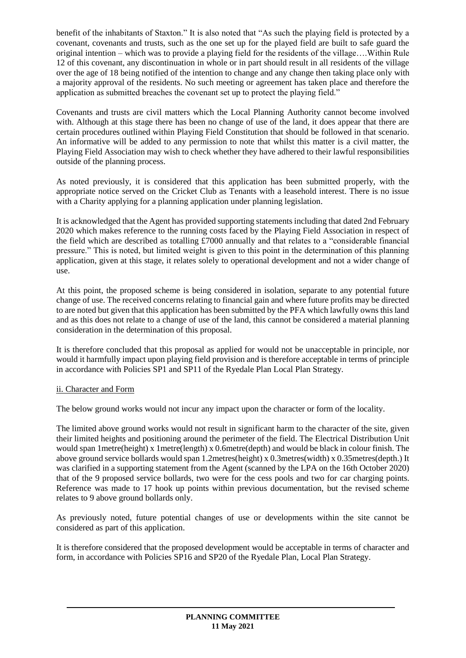benefit of the inhabitants of Staxton." It is also noted that "As such the playing field is protected by a covenant, covenants and trusts, such as the one set up for the played field are built to safe guard the original intention – which was to provide a playing field for the residents of the village….Within Rule 12 of this covenant, any discontinuation in whole or in part should result in all residents of the village over the age of 18 being notified of the intention to change and any change then taking place only with a majority approval of the residents. No such meeting or agreement has taken place and therefore the application as submitted breaches the covenant set up to protect the playing field."

Covenants and trusts are civil matters which the Local Planning Authority cannot become involved with. Although at this stage there has been no change of use of the land, it does appear that there are certain procedures outlined within Playing Field Constitution that should be followed in that scenario. An informative will be added to any permission to note that whilst this matter is a civil matter, the Playing Field Association may wish to check whether they have adhered to their lawful responsibilities outside of the planning process.

As noted previously, it is considered that this application has been submitted properly, with the appropriate notice served on the Cricket Club as Tenants with a leasehold interest. There is no issue with a Charity applying for a planning application under planning legislation.

It is acknowledged that the Agent has provided supporting statements including that dated 2nd February 2020 which makes reference to the running costs faced by the Playing Field Association in respect of the field which are described as totalling £7000 annually and that relates to a "considerable financial pressure." This is noted, but limited weight is given to this point in the determination of this planning application, given at this stage, it relates solely to operational development and not a wider change of use.

At this point, the proposed scheme is being considered in isolation, separate to any potential future change of use. The received concerns relating to financial gain and where future profits may be directed to are noted but given that this application has been submitted by the PFA which lawfully owns this land and as this does not relate to a change of use of the land, this cannot be considered a material planning consideration in the determination of this proposal.

It is therefore concluded that this proposal as applied for would not be unacceptable in principle, nor would it harmfully impact upon playing field provision and is therefore acceptable in terms of principle in accordance with Policies SP1 and SP11 of the Ryedale Plan Local Plan Strategy.

## ii. Character and Form

The below ground works would not incur any impact upon the character or form of the locality.

The limited above ground works would not result in significant harm to the character of the site, given their limited heights and positioning around the perimeter of the field. The Electrical Distribution Unit would span 1metre(height) x 1metre(length) x 0.6metre(depth) and would be black in colour finish. The above ground service bollards would span 1.2metres(height) x 0.3metres(width) x 0.35metres(depth.) It was clarified in a supporting statement from the Agent (scanned by the LPA on the 16th October 2020) that of the 9 proposed service bollards, two were for the cess pools and two for car charging points. Reference was made to 17 hook up points within previous documentation, but the revised scheme relates to 9 above ground bollards only.

As previously noted, future potential changes of use or developments within the site cannot be considered as part of this application.

It is therefore considered that the proposed development would be acceptable in terms of character and form, in accordance with Policies SP16 and SP20 of the Ryedale Plan, Local Plan Strategy.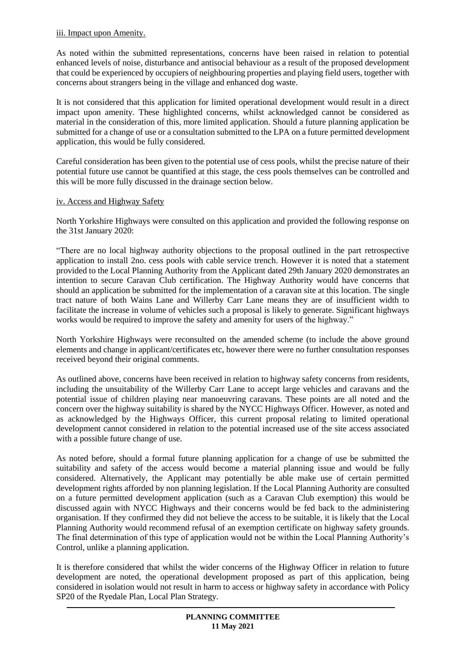### iii. Impact upon Amenity.

As noted within the submitted representations, concerns have been raised in relation to potential enhanced levels of noise, disturbance and antisocial behaviour as a result of the proposed development that could be experienced by occupiers of neighbouring properties and playing field users, together with concerns about strangers being in the village and enhanced dog waste.

It is not considered that this application for limited operational development would result in a direct impact upon amenity. These highlighted concerns, whilst acknowledged cannot be considered as material in the consideration of this, more limited application. Should a future planning application be submitted for a change of use or a consultation submitted to the LPA on a future permitted development application, this would be fully considered.

Careful consideration has been given to the potential use of cess pools, whilst the precise nature of their potential future use cannot be quantified at this stage, the cess pools themselves can be controlled and this will be more fully discussed in the drainage section below.

### iv. Access and Highway Safety

North Yorkshire Highways were consulted on this application and provided the following response on the 31st January 2020:

"There are no local highway authority objections to the proposal outlined in the part retrospective application to install 2no. cess pools with cable service trench. However it is noted that a statement provided to the Local Planning Authority from the Applicant dated 29th January 2020 demonstrates an intention to secure Caravan Club certification. The Highway Authority would have concerns that should an application be submitted for the implementation of a caravan site at this location. The single tract nature of both Wains Lane and Willerby Carr Lane means they are of insufficient width to facilitate the increase in volume of vehicles such a proposal is likely to generate. Significant highways works would be required to improve the safety and amenity for users of the highway."

North Yorkshire Highways were reconsulted on the amended scheme (to include the above ground elements and change in applicant/certificates etc, however there were no further consultation responses received beyond their original comments.

As outlined above, concerns have been received in relation to highway safety concerns from residents, including the unsuitability of the Willerby Carr Lane to accept large vehicles and caravans and the potential issue of children playing near manoeuvring caravans. These points are all noted and the concern over the highway suitability is shared by the NYCC Highways Officer. However, as noted and as acknowledged by the Highways Officer, this current proposal relating to limited operational development cannot considered in relation to the potential increased use of the site access associated with a possible future change of use.

As noted before, should a formal future planning application for a change of use be submitted the suitability and safety of the access would become a material planning issue and would be fully considered. Alternatively, the Applicant may potentially be able make use of certain permitted development rights afforded by non planning legislation. If the Local Planning Authority are consulted on a future permitted development application (such as a Caravan Club exemption) this would be discussed again with NYCC Highways and their concerns would be fed back to the administering organisation. If they confirmed they did not believe the access to be suitable, it is likely that the Local Planning Authority would recommend refusal of an exemption certificate on highway safety grounds. The final determination of this type of application would not be within the Local Planning Authority's Control, unlike a planning application.

It is therefore considered that whilst the wider concerns of the Highway Officer in relation to future development are noted, the operational development proposed as part of this application, being considered in isolation would not result in harm to access or highway safety in accordance with Policy SP20 of the Ryedale Plan, Local Plan Strategy.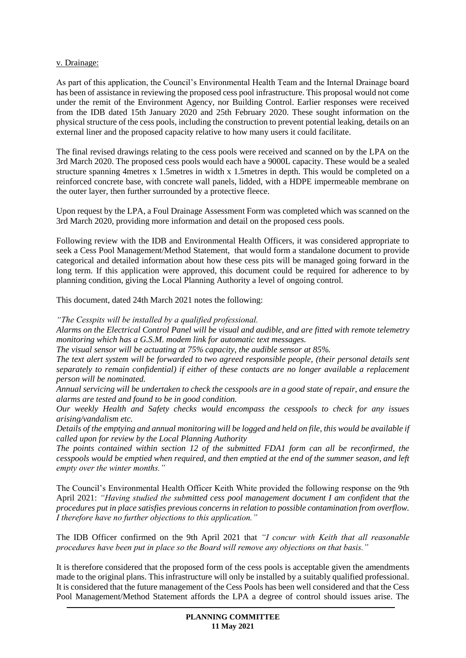### v. Drainage:

As part of this application, the Council's Environmental Health Team and the Internal Drainage board has been of assistance in reviewing the proposed cess pool infrastructure. This proposal would not come under the remit of the Environment Agency, nor Building Control. Earlier responses were received from the IDB dated 15th January 2020 and 25th February 2020. These sought information on the physical structure of the cess pools, including the construction to prevent potential leaking, details on an external liner and the proposed capacity relative to how many users it could facilitate.

The final revised drawings relating to the cess pools were received and scanned on by the LPA on the 3rd March 2020. The proposed cess pools would each have a 9000L capacity. These would be a sealed structure spanning 4metres x 1.5metres in width x 1.5metres in depth. This would be completed on a reinforced concrete base, with concrete wall panels, lidded, with a HDPE impermeable membrane on the outer layer, then further surrounded by a protective fleece.

Upon request by the LPA, a Foul Drainage Assessment Form was completed which was scanned on the 3rd March 2020, providing more information and detail on the proposed cess pools.

Following review with the IDB and Environmental Health Officers, it was considered appropriate to seek a Cess Pool Management/Method Statement, that would form a standalone document to provide categorical and detailed information about how these cess pits will be managed going forward in the long term. If this application were approved, this document could be required for adherence to by planning condition, giving the Local Planning Authority a level of ongoing control.

This document, dated 24th March 2021 notes the following:

*"The Cesspits will be installed by a qualified professional.*

*Alarms on the Electrical Control Panel will be visual and audible, and are fitted with remote telemetry monitoring which has a G.S.M. modem link for automatic text messages.* 

*The visual sensor will be actuating at 75% capacity, the audible sensor at 85%.*

*The text alert system will be forwarded to two agreed responsible people, (their personal details sent separately to remain confidential) if either of these contacts are no longer available a replacement person will be nominated.*

*Annual servicing will be undertaken to check the cesspools are in a good state of repair, and ensure the alarms are tested and found to be in good condition.* 

*Our weekly Health and Safety checks would encompass the cesspools to check for any issues arising/vandalism etc.*

*Details of the emptying and annual monitoring will be logged and held on file, this would be available if called upon for review by the Local Planning Authority*

*The points contained within section 12 of the submitted FDA1 form can all be reconfirmed, the cesspools would be emptied when required, and then emptied at the end of the summer season, and left empty over the winter months."*

The Council's Environmental Health Officer Keith White provided the following response on the 9th April 2021: *"Having studied the submitted cess pool management document I am confident that the procedures put in place satisfies previous concerns in relation to possible contamination from overflow. I therefore have no further objections to this application."* 

The IDB Officer confirmed on the 9th April 2021 that *"I concur with Keith that all reasonable procedures have been put in place so the Board will remove any objections on that basis."*

It is therefore considered that the proposed form of the cess pools is acceptable given the amendments made to the original plans. This infrastructure will only be installed by a suitably qualified professional. It is considered that the future management of the Cess Pools has been well considered and that the Cess Pool Management/Method Statement affords the LPA a degree of control should issues arise. The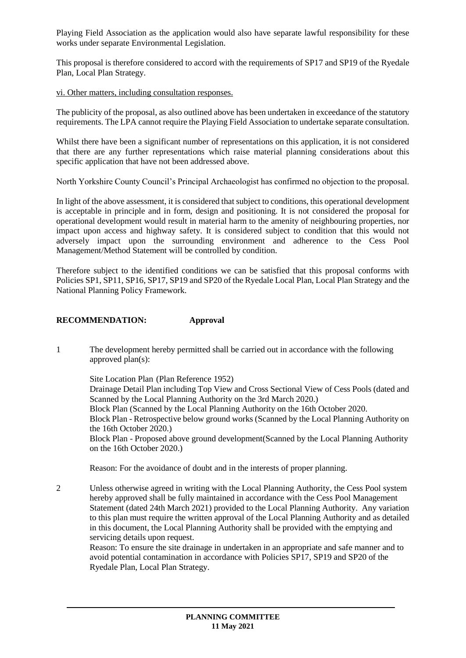Playing Field Association as the application would also have separate lawful responsibility for these works under separate Environmental Legislation.

This proposal is therefore considered to accord with the requirements of SP17 and SP19 of the Ryedale Plan, Local Plan Strategy.

#### vi. Other matters, including consultation responses.

The publicity of the proposal, as also outlined above has been undertaken in exceedance of the statutory requirements. The LPA cannot require the Playing Field Association to undertake separate consultation.

Whilst there have been a significant number of representations on this application, it is not considered that there are any further representations which raise material planning considerations about this specific application that have not been addressed above.

North Yorkshire County Council's Principal Archaeologist has confirmed no objection to the proposal.

In light of the above assessment, it is considered that subject to conditions, this operational development is acceptable in principle and in form, design and positioning. It is not considered the proposal for operational development would result in material harm to the amenity of neighbouring properties, nor impact upon access and highway safety. It is considered subject to condition that this would not adversely impact upon the surrounding environment and adherence to the Cess Pool Management/Method Statement will be controlled by condition.

Therefore subject to the identified conditions we can be satisfied that this proposal conforms with Policies SP1, SP11, SP16, SP17, SP19 and SP20 of the Ryedale Local Plan, Local Plan Strategy and the National Planning Policy Framework.

#### **RECOMMENDATION: Approval**

1 The development hereby permitted shall be carried out in accordance with the following approved plan(s):

Site Location Plan (Plan Reference 1952) Drainage Detail Plan including Top View and Cross Sectional View of Cess Pools (dated and Scanned by the Local Planning Authority on the 3rd March 2020.) Block Plan (Scanned by the Local Planning Authority on the 16th October 2020. Block Plan - Retrospective below ground works (Scanned by the Local Planning Authority on the 16th October 2020.) Block Plan - Proposed above ground development(Scanned by the Local Planning Authority on the 16th October 2020.)

Reason: For the avoidance of doubt and in the interests of proper planning.

2 Unless otherwise agreed in writing with the Local Planning Authority, the Cess Pool system hereby approved shall be fully maintained in accordance with the Cess Pool Management Statement (dated 24th March 2021) provided to the Local Planning Authority. Any variation to this plan must require the written approval of the Local Planning Authority and as detailed in this document, the Local Planning Authority shall be provided with the emptying and servicing details upon request.

Reason: To ensure the site drainage in undertaken in an appropriate and safe manner and to avoid potential contamination in accordance with Policies SP17, SP19 and SP20 of the Ryedale Plan, Local Plan Strategy.